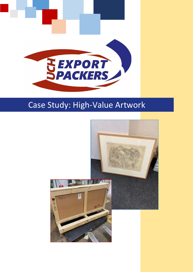

# Case Study: High-Value Artwork